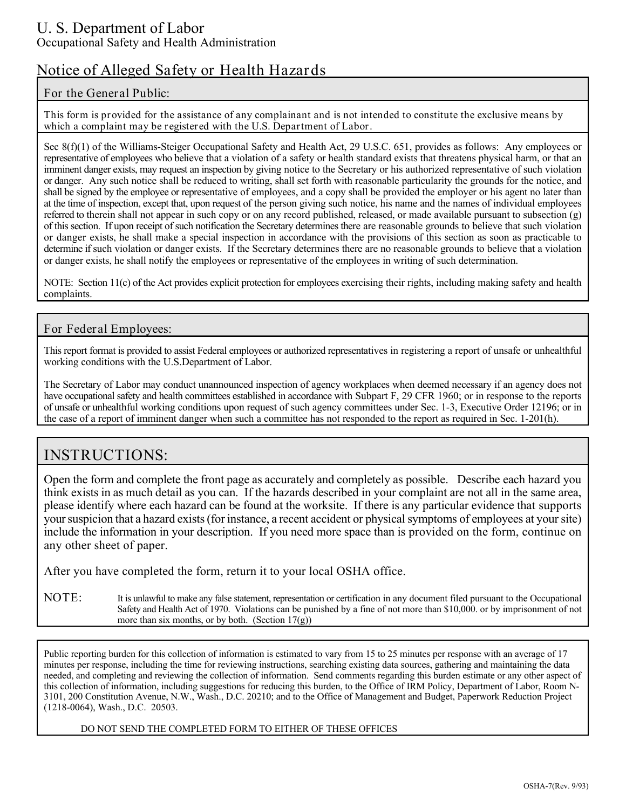### U. S. Department of Labor Occupational Safety and Health Administration

# **Notice of Alleged Safety or Health Hazards**

### **For the General Public:**

**This form is provided for the assistance of any complainant and is not intended to constitute the exclusive means by which a complaint may be registered with the U.S. Department of Labor.**

Sec 8(f)(1) of the Williams-Steiger Occupational Safety and Health Act, 29 U.S.C. 651, provides as follows: Any employees or representative of employees who believe that a violation of a safety or health standard exists that threatens physical harm, or that an imminent danger exists, may request an inspection by giving notice to the Secretary or his authorized representative of such violation or danger. Any such notice shall be reduced to writing, shall set forth with reasonable particularity the grounds for the notice, and shall be signed by the employee or representative of employees, and a copy shall be provided the employer or his agent no later than at the time of inspection, except that, upon request of the person giving such notice, his name and the names of individual employees referred to therein shall not appear in such copy or on any record published, released, or made available pursuant to subsection (g) of this section. If upon receipt of such notification the Secretary determines there are reasonable grounds to believe that such violation or danger exists, he shall make a special inspection in accordance with the provisions of this section as soon as practicable to determine if such violation or danger exists. If the Secretary determines there are no reasonable grounds to believe that a violation or danger exists, he shall notify the employees or representative of the employees in writing of such determination.

NOTE: Section 11(c) of the Act provides explicit protection for employees exercising their rights, including making safety and health complaints.

#### **For Federal Employees:**

This report format is provided to assist Federal employees or authorized representatives in registering a report of unsafe or unhealthful working conditions with the U.S.Department of Labor.

The Secretary of Labor may conduct unannounced inspection of agency workplaces when deemed necessary if an agency does not have occupational safety and health committees established in accordance with Subpart F, 29 CFR 1960; or in response to the reports of unsafe or unhealthful working conditions upon request of such agency committees under Sec. 1-3, Executive Order 12196; or in the case of a report of imminent danger when such a committee has not responded to the report as required in Sec. 1-201(h).

## **INSTRUCTIONS:**

Open the form and complete the front page as accurately and completely as possible. Describe each hazard you think exists in as much detail as you can. If the hazards described in your complaint are not all in the same area, please identify where each hazard can be found at the worksite. If there is any particular evidence that supports your suspicion that a hazard exists (for instance, a recent accident or physical symptoms of employees at your site) include the information in your description. If you need more space than is provided on the form, continue on any other sheet of paper.

After you have completed the form, return it to your local OSHA office.

**NOTE:** It is unlawful to make any false statement, representation or certification in any document filed pursuant to the Occupational Safety and Health Act of 1970. Violations can be punished by a fine of not more than \$10,000. or by imprisonment of not more than six months, or by both. (Section  $17(g)$ )

Public reporting burden for this collection of information is estimated to vary from 15 to 25 minutes per response with an average of 17 minutes per response, including the time for reviewing instructions, searching existing data sources, gathering and maintaining the data needed, and completing and reviewing the collection of information. Send comments regarding this burden estimate or any other aspect of this collection of information, including suggestions for reducing this burden, to the Office of IRM Policy, Department of Labor, Room N-3101, 200 Constitution Avenue, N.W., Wash., D.C. 20210; and to the Office of Management and Budget, Paperwork Reduction Project (1218-0064), Wash., D.C. 20503.

DO NOT SEND THE COMPLETED FORM TO EITHER OF THESE OFFICES